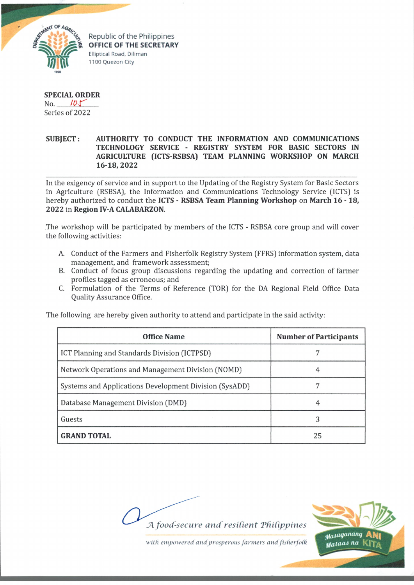

Republic of the Philippines **OFFICE OF THE SECRETARY** Elliptical Road, Diliman 1100 Quezon City

## **SPECIAL ORDER**

n o . *tor'* Series of 2022

## **SUBJECT: AUTHORITY TO CONDUCT THE INFORMATION AND COMMUNICATIONS TECHNOLOGY SERVICE - REGISTRY SYSTEM FOR BASIC SECTORS IN AGRICULTURE (ICTS-RSBSA) TEAM PLANNING WORKSHOP ON MARCH 16-18, 2022**

In the exigency of service and in support to the Updating of the Registry System for Basic Sectors in Agriculture (RSBSA), the Information and Communications Technology Service (ICTS) is hereby authorized to conduct the **ICTS - RSBSA Team Planning Workshop** on **March 16 -18, 2022** in **Region IV-A CALABARZON.**

The workshop will be participated by members of the ICTS - RSBSA core group and will cover the following activities:

- A. Conduct of the Farmers and Fisherfolk Registry System (FFRS) information system, data management, and framework assessment;
- B. Conduct of focus group discussions regarding the updating and correction of farmer profiles tagged as erroneous; and
- C. Formulation of the Terms of Reference (TOR) for the DA Regional Field Office Data Quality Assurance Office.

The following are hereby given authority to attend and participate in the said activity:

| <b>Office Name</b>                                     | <b>Number of Participants</b> |
|--------------------------------------------------------|-------------------------------|
| ICT Planning and Standards Division (ICTPSD)           |                               |
| Network Operations and Management Division (NOMD)      | 4                             |
| Systems and Applications Development Division (SysADD) |                               |
| Database Management Division (DMD)                     |                               |
| Guests                                                 | 3                             |
| <b>GRAND TOTAL</b>                                     | 25                            |

*JA food-secure and resilient 'Philippines*



with empowered and prosperous farmers and fisherfolk